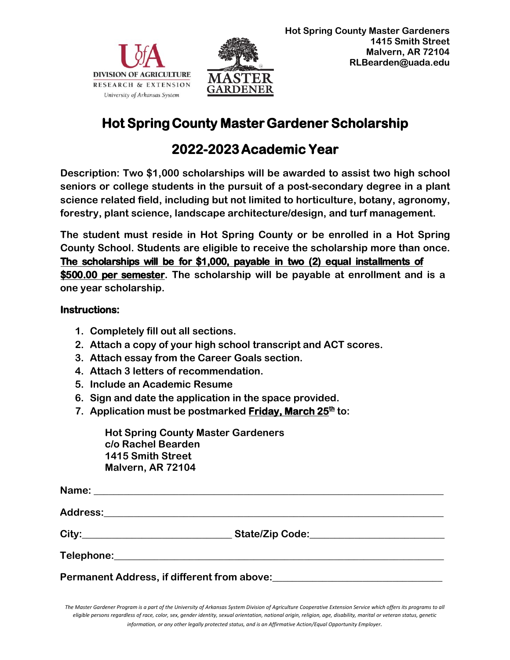



## **Hot Spring County Master Gardener Scholarship**

## **2022-2023 Academic Year**

**Description: Two \$1,000 scholarships will be awarded to assist two high school seniors or college students in the pursuit of a post-secondary degree in a plant science related field, including but not limited to horticulture, botany, agronomy, forestry, plant science, landscape architecture/design, and turf management.** 

**The student must reside in Hot Spring County or be enrolled in a Hot Spring County School. Students are eligible to receive the scholarship more than once. The scholarships will be for \$1,000, payable in two (2) equal installments of \$500.00 per semester. The scholarship will be payable at enrollment and is a one year scholarship.**

## **Instructions:**

- **1. Completely fill out all sections.**
- **2. Attach a copy of your high school transcript and ACT scores.**
- **3. Attach essay from the Career Goals section.**
- **4. Attach 3 letters of recommendation.**
- **5. Include an Academic Resume**
- **6. Sign and date the application in the space provided.**
- **7. Application must be postmarked Friday, March 25th to:**

**Hot Spring County Master Gardeners c/o Rachel Bearden 1415 Smith Street Malvern, AR 72104**

| Permanent Address, if different from above: |  |
|---------------------------------------------|--|

*The Master Gardener Program is a part of the University of Arkansas System Division of Agriculture Cooperative Extension Service which offers its programs to all eligible persons regardless of race, color, sex, gender identity, sexual orientation, national origin, religion, age, disability, marital or veteran status, genetic information, or any other legally protected status, and is an Affirmative Action/Equal Opportunity Employer.*